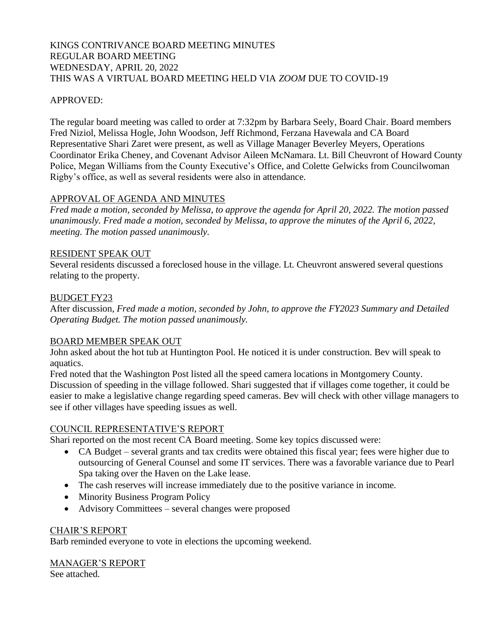## KINGS CONTRIVANCE BOARD MEETING MINUTES REGULAR BOARD MEETING WEDNESDAY, APRIL 20, 2022 THIS WAS A VIRTUAL BOARD MEETING HELD VIA *ZOOM* DUE TO COVID-19

## APPROVED:

The regular board meeting was called to order at 7:32pm by Barbara Seely, Board Chair. Board members Fred Niziol, Melissa Hogle, John Woodson, Jeff Richmond, Ferzana Havewala and CA Board Representative Shari Zaret were present, as well as Village Manager Beverley Meyers, Operations Coordinator Erika Cheney, and Covenant Advisor Aileen McNamara. Lt. Bill Cheuvront of Howard County Police, Megan Williams from the County Executive's Office, and Colette Gelwicks from Councilwoman Rigby's office, as well as several residents were also in attendance.

### APPROVAL OF AGENDA AND MINUTES

*Fred made a motion, seconded by Melissa, to approve the agenda for April 20, 2022. The motion passed unanimously. Fred made a motion, seconded by Melissa, to approve the minutes of the April 6, 2022, meeting. The motion passed unanimously.*

#### RESIDENT SPEAK OUT

Several residents discussed a foreclosed house in the village. Lt. Cheuvront answered several questions relating to the property.

### BUDGET FY23

After discussion*, Fred made a motion, seconded by John, to approve the FY2023 Summary and Detailed Operating Budget. The motion passed unanimously.* 

### BOARD MEMBER SPEAK OUT

John asked about the hot tub at Huntington Pool. He noticed it is under construction. Bev will speak to aquatics.

Fred noted that the Washington Post listed all the speed camera locations in Montgomery County. Discussion of speeding in the village followed. Shari suggested that if villages come together, it could be easier to make a legislative change regarding speed cameras. Bev will check with other village managers to see if other villages have speeding issues as well.

#### COUNCIL REPRESENTATIVE'S REPORT

Shari reported on the most recent CA Board meeting. Some key topics discussed were:

- CA Budget several grants and tax credits were obtained this fiscal year; fees were higher due to outsourcing of General Counsel and some IT services. There was a favorable variance due to Pearl Spa taking over the Haven on the Lake lease.
- The cash reserves will increase immediately due to the positive variance in income.
- Minority Business Program Policy
- Advisory Committees several changes were proposed

#### CHAIR'S REPORT

Barb reminded everyone to vote in elections the upcoming weekend.

# MANAGER'S REPORT

See attached.